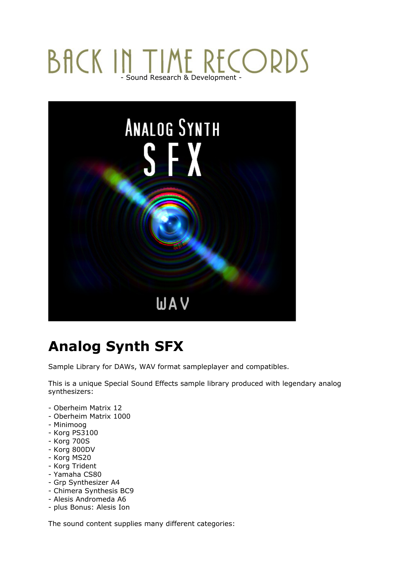## **BACK IN TIME RECORDS** - Sound Research & Development -



## **Analog Synth SFX**

Sample Library for DAWs, WAV format sampleplayer and compatibles.

This is a unique Special Sound Effects sample library produced with legendary analog synthesizers:

- Oberheim Matrix 12
- Oberheim Matrix 1000
- Minimoog
- Korg PS3100
- Korg 700S
- Korg 800DV
- Korg MS20
- Korg Trident
- Yamaha CS80
- Grp Synthesizer A4
- Chimera Synthesis BC9
- Alesis Andromeda A6
- plus Bonus: Alesis Ion

The sound content supplies many different categories: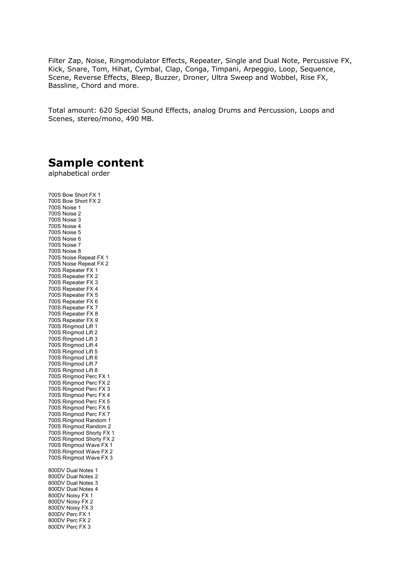Filter Zap, Noise, Ringmodulator Effects, Repeater, Single and Dual Note, Percussive FX, Kick, Snare, Tom, Hihat, Cymbal, Clap, Conga, Timpani, Arpeggio, Loop, Sequence, Scene, Reverse Effects, Bleep, Buzzer, Droner, Ultra Sweep and Wobbel, Rise FX, Bassline, Chord and more.

Total amount: 620 Special Sound Effects, analog Drums and Percussion, Loops and Scenes, stereo/mono, 490 MB.

## **Sample content**

alphabetical order

700S Bow Short FX 1 700S Bow Short FX 2 700S Noise 1 700S Noise 2 700S Noise 3 700S Noise 4 700S Noise 5 700S Noise 6 700S Noise 7 700S Noise 8 700S Noise Repeat FX 1 700S Noise Repeat FX 2 700S Repeater FX 1 700S Repeater FX 2 700S Repeater FX 3 700S Repeater FX 4 700S Repeater FX 5 700S Repeater FX 6 700S Repeater FX 7 700S Repeater FX 8 700S Repeater FX 9 700S Ringmod Lift 1 700S Ringmod Lift 2 700S Ringmod Lift 3 700S Ringmod Lift 4 700S Ringmod Lift 5 700S Ringmod Lift 6 700S Ringmod Lift 7 700S Ringmod Lift 8 700S Ringmod Perc FX 1 700S Ringmod Perc FX 2 700S Ringmod Perc FX 3 700S Ringmod Perc FX 4 700S Ringmod Perc FX 5 700S Ringmod Perc FX 6 700S Ringmod Perc FX 7 700S Ringmod Random 1 700S Ringmod Random 2 700S Ringmod Shorty FX 1 700S Ringmod Shorty FX 2 700S Ringmod Wave FX 1 700S Ringmod Wave FX 2 700S Ringmod Wave FX 3 800DV Dual Notes 1 800DV Dual Notes 2 800DV Dual Notes 3 800DV Dual Notes 4 800DV Noisy FX 1 800DV Noisy FX 2 800DV Noisy FX 3 800DV Perc FX 1 800DV Perc FX 2

800DV Perc FX 3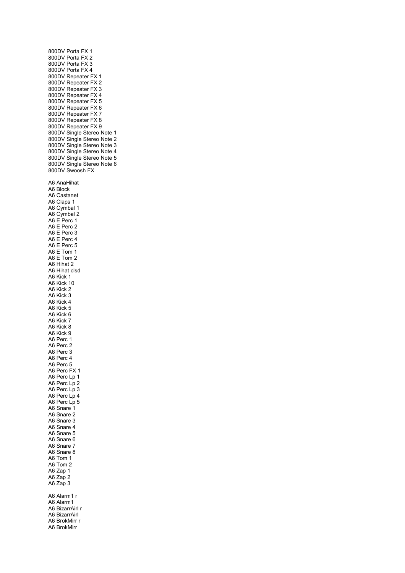800DV Porta FX 1 800DV Porta FX 2 800DV Porta FX 3 800DV Porta FX 4 800DV Repeater FX 1 800DV Repeater FX 2 800DV Repeater FX 3 800DV Repeater FX 4 800DV Repeater FX 5 800DV Repeater FX 6 800DV Repeater FX 7 800DV Repeater FX 8 800DV Repeater FX 9 800DV Single Stereo Note 1 800DV Single Stereo Note 2 800DV Single Stereo Note 3 800DV Single Stereo Note 4 800DV Single Stereo Note 5 800DV Single Stereo Note 6 800DV Swoosh FX A6 AnaHihat A6 Block A6 Castanet A6 Claps 1 A6 Cymbal 1 A6 Cymbal 2 A6 E Perc 1 A6 E Perc 2 A6 E Perc 3 A6 E Perc 4 A6 E Perc 5 A6 E Tom 1 A6 E Tom 2 A6 Hihat 2 A6 Hihat clsd A6 Kick 1 A6 Kick 10 A6 Kick 2 A6 Kick 3 A6 Kick 4 A6 Kick 5 A6 Kick 6 A6 Kick 7 A6 Kick 8 A6 Kick 9 A6 Perc 1 A6 Perc 2 A6 Perc 3 A6 Perc 4 A6 Perc 5 A6 Perc FX 1 A6 Perc Lp 1 A6 Perc Lp 2 A6 Perc Lp 3 A6 Perc Lp 4 A6 Perc Lp 5 A6 Snare 1 A6 Snare 2 A6 Snare 3 A6 Snare 4 A6 Snare 5 A6 Snare 6 A6 Snare 7 A6 Snare 8 A6 Tom 1 A6 Tom 2 A6 Zap 1 A6 Zap 2 A6 Zap 3 A6 Alarm1 r A6 Alarm1 A6 BizarrAirl r A6 BizarrAirl A6 BrokMirr r A6 BrokMirr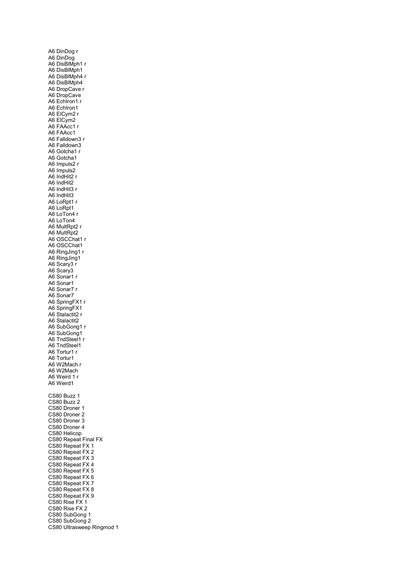A6 DinDog r A6 DinDog A6 DisBlMph1 r A6 DisBlMph1 A6 DisBlMph4 r A6 DisBlMph4 A6 DropCave r A6 DropCave A6 EchIron1 r A6 EchIron1 A6 ElCym2 r A6 ElCym2 A6 FAAcc1 r A6 FAAcc1 A6 Falldown3 r A6 Falldown3 A6 Gotcha1 r A6 Gotcha1 A6 Impuls2 r A6 Impuls2 A6 IndHit2 r A6 IndHit2 A6 IndHit3 r A6 IndHit3 A6 LoRpt1 r A6 LoRpt1 A6 LoTon4 r A6 LoTon4 A6 MultRpt2 r A6 MultRpt2 A6 OSCChat1 r A6 OSCChat1 A6 RingJing1 r A6 RingJing1 A6 Scary3 r A6 Scary3 A6 Sonar1 r A6 Sonar1 A6 Sonar7 r A6 Sonar7 A6 SpringFX1 r A6 SpringFX1 A6 Stalactit2 r A6 Stalactit2 A6 SubGong1 r A6 SubGong1 A6 TndSteel1 r A6 TndSteel1 A6 Tortur1 r A6 Tortur1 A6 W2Mach r A6 W2Mach A6 Weird 1 r A6 Weird1 CS80 Buzz 1 CS80 Buzz 2 CS80 Droner 1 CS80 Droner 2 CS80 Droner 3 CS80 Droner 4 CS80 Helicop CS80 Repeat Final FX CS80 Repeat FX 1 CS80 Repeat FX 2 CS80 Repeat FX 3 CS80 Repeat FX 4 CS80 Repeat FX 5 CS80 Repeat FX 6 CS80 Repeat FX 7 CS80 Repeat FX 8 CS80 Repeat FX 9 CS80 Rise FX 1 CS80 Rise FX 2 CS80 SubGong 1 CS80 SubGong 2 CS80 Ultrasweep Ringmod 1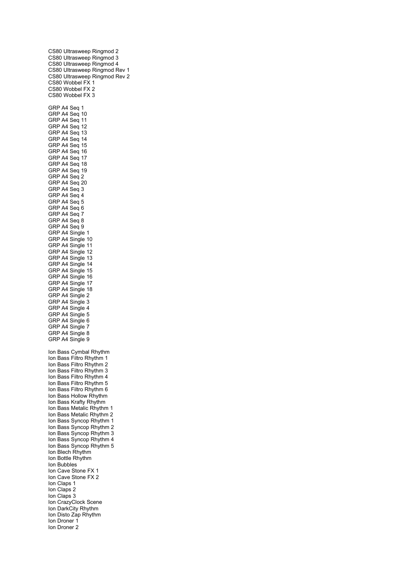CS80 Ultrasweep Ringmod 2 CS80 Ultrasweep Ringmod 3 CS80 Ultrasweep Ringmod 4 CS80 Ultrasweep Ringmod Rev 1 CS80 Ultrasweep Ringmod Rev 2 CS80 Wobbel FX 1 CS80 Wobbel FX 2 CS80 Wobbel FX 3 GRP A4 Seq 1 GRP A4 Seq 10 GRP A4 Seq 11 GRP A4 Seq 12 GRP A4 Seq 13 GRP A4 Seq 14 GRP A4 Seq 15 GRP A4 Seq 16 GRP A4 Seq 17 GRP A4 Seq 18 GRP A4 Seq 19 GRP A4 Seq 2 GRP A4 Seq 20 GRP A4 Seq 3 GRP A4 Seq 4 GRP A4 Seq 5 GRP A4 Seq 6 GRP A4 Seq 7 GRP A4 Seq 8 GRP A4 Seq 9 GRP A4 Single 1 GRP A4 Single 10 GRP A4 Single 11 GRP A4 Single 12 GRP A4 Single 13 GRP A4 Single 14 GRP A4 Single 15 GRP A4 Single 16 GRP A4 Single 17 GRP A4 Single 18 GRP A4 Single 2 GRP A4 Single 3 GRP A4 Single 4 GRP A4 Single 5 GRP A4 Single 6 GRP A4 Single 7 GRP A4 Single 8 GRP A4 Single 9 Ion Bass Cymbal Rhythm Ion Bass Filtro Rhythm 1 Ion Bass Filtro Rhythm 2 Ion Bass Filtro Rhythm 3 Ion Bass Filtro Rhythm 4 Ion Bass Filtro Rhythm 5 Ion Bass Filtro Rhythm 6 Ion Bass Hollow Rhythm Ion Bass Krafty Rhythm Ion Bass Metalic Rhythm 1 Ion Bass Metalic Rhythm 2 Ion Bass Syncop Rhythm 1 Ion Bass Syncop Rhythm 2 Ion Bass Syncop Rhythm 3 Ion Bass Syncop Rhythm 4 Ion Bass Syncop Rhythm 5 Ion Blech Rhythm Ion Bottle Rhythm Ion Bubbles Ion Cave Stone FX 1 Ion Cave Stone FX 2 Ion Claps 1 Ion Claps 2 Ion Claps 3 Ion CrazyClock Scene Ion DarkCity Rhythm Ion Disto Zap Rhythm Ion Droner 1 Ion Droner 2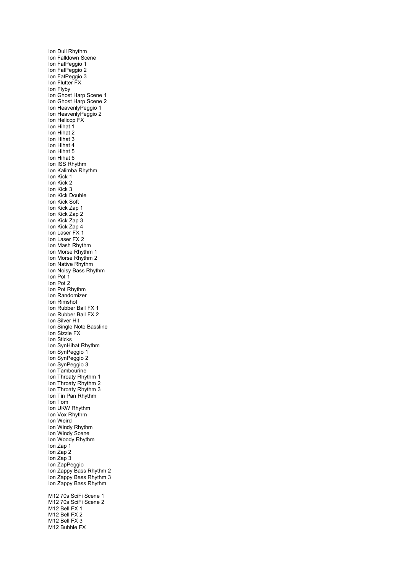Ion Dull Rhythm Ion Falldown Scene Ion FatPeggio 1 Ion FatPeggio 2 Ion FatPeggio 3 Ion Flutter FX Ion Flyby Ion Ghost Harp Scene 1 Ion Ghost Harp Scene 2 Ion HeavenlyPeggio 1 Ion HeavenlyPeggio 2 Ion Helicop FX Ion Hihat 1 Ion Hihat 2 Ion Hihat 3 Ion Hihat 4 Ion Hihat 5 Ion Hihat 6 Ion ISS Rhythm Ion Kalimba Rhythm Ion Kick 1 Ion Kick 2 Ion Kick 3 Ion Kick Double Ion Kick Soft Ion Kick Zap 1 Ion Kick Zap 2 Ion Kick Zap 3 Ion Kick Zap 4 Ion Laser FX 1 Ion Laser FX 2 Ion Mash Rhythm Ion Morse Rhythm 1 Ion Morse Rhythm 2 Ion Native Rhythm Ion Noisy Bass Rhythm Ion Pot 1 Ion Pot 2 Ion Pot Rhythm Ion Randomizer Ion Rimshot Ion Rubber Ball FX 1 Ion Rubber Ball FX 2 Ion Silver Hit Ion Single Note Bassline Ion Sizzle FX Ion Sticks Ion SynHihat Rhythm Ion SynPeggio 1 Ion SynPeggio 2 Ion SynPeggio 3 Ion Tambourine Ion Throaty Rhythm 1 Ion Throaty Rhythm 2 Ion Throaty Rhythm 3 Ion Tin Pan Rhythm Ion Tom Ion UKW Rhythm Ion Vox Rhythm Ion Weird Ion Windy Rhythm Ion Windy Scene Ion Woody Rhythm Ion Zap 1 Ion Zap 2 Ion Zap 3 Ion ZapPeggio Ion Zappy Bass Rhythm 2 Ion Zappy Bass Rhythm 3 Ion Zappy Bass Rhythm M12 70s SciFi Scene 1 M12 70s SciFi Scene 2 M12 Bell FX 1 M12 Bell FX 2 M12 Bell FX 3 M12 Bubble FX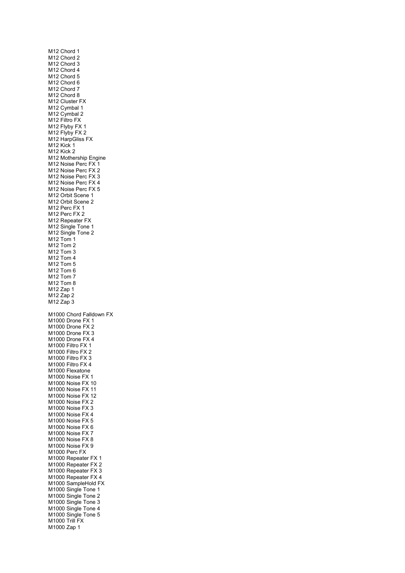| M12 Chord 1<br>M12 Chord 2<br>M12 Chord 3<br>M12 Chord 4<br>M12 Chord 5<br>M12 Chord 6<br>M12 Chord 7<br>M12 Chord 8<br>M12 Cluster FX<br>M12 Cymbal 1<br>M12 Cymbal 2<br>M12 Filtro FX<br>M12 Flyby FX 1<br>M12 Flyby FX 2<br>M12 HarpGliss FX<br>M12 Kick 1<br>M12 Kick 2<br>M12 Mothership Engine<br>M12 Noise Perc FX 1<br>M12 Noise Perc FX<br>M12 Noise Perc FX 3<br>M12 Noise Perc FX 4<br>M12 Noise Perc FX 5<br>M12 Orbit Scene 1<br>M12 Orbit Scene 2<br>M12 Perc FX 1<br>M12 Perc FX 2<br>M12 Repeater FX<br>M12 Single Tone 1<br>M12 Single Tone 2<br>M12 Tom 1<br>M12 Tom 2<br>M12 Tom 3<br>M12 Tom 4<br>M12 Tom 5<br>M <sub>12</sub> Tom 6<br>M12 Tom 7<br>M12 Tom 8<br>M12 Zap 1<br>M12 Zap 2<br>M12 Zap 3                                       |
|-----------------------------------------------------------------------------------------------------------------------------------------------------------------------------------------------------------------------------------------------------------------------------------------------------------------------------------------------------------------------------------------------------------------------------------------------------------------------------------------------------------------------------------------------------------------------------------------------------------------------------------------------------------------------------------------------------------------------------------------------------------------|
| M1000 Chord Falldown FX<br>M1000 Drone FX 1<br>M1000 Drone FX 2<br>M1000 Drone FX 3<br>M1000 Drone FX 4<br>M1000 Filtro FX 1<br>M1000 Filtro FX 2<br>M1000 Filtro FX<br>3<br>M1000 Filtro FX 4<br>M1000 Flexatone<br>M1000 Noise FX 1<br>M1000 Noise FX 10<br>M1000 Noise FX 11<br>M1000 Noise FX 12<br>M1000 Noise FX 2<br>M1000 Noise FX 3<br>M1000 Noise FX 4<br>M1000 Noise FX 5<br>M1000 Noise FX 6<br>M1000 Noise FX 7<br>M1000 Noise FX 8<br>M1000 Noise FX 9<br>M1000 Perc FX<br>M1000 Repeater FX 1<br>M1000 Repeater FX<br>2<br>M1000 Repeater FX 3<br>M1000 Repeater FX 4<br>M1000 SampleHold FX<br>M1000 Single Tone 1<br>M1000 Single Tone 2<br>M1000 Single Tone 3<br>M1000 Single Tone 4<br>M1000 Single Tone 5<br>M1000 Trill FX<br>M1000 Zap 1 |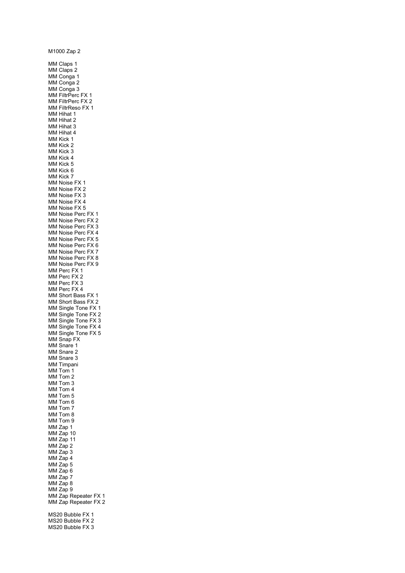M1000 Zap 2 MM Claps 1 MM Claps 2 MM Conga 1 MM Conga 2 MM Conga 3 MM FiltrPerc FX 1 MM FiltrPerc FX 2 MM FiltrReso FX 1 MM Hihat 1 MM Hihat 2 MM Hihat 3 MM Hihat 4 MM Kick 1 MM Kick 2 MM Kick 3 MM Kick 4 MM Kick 5 MM Kick 6 MM Kick 7 MM Noise FX 1 MM Noise FX 2 MM Noise FX 3 MM Noise FX 4 MM Noise FX 5 MM Noise Perc FX 1 MM Noise Perc FX 2 MM Noise Perc FX 3 MM Noise Perc FX 4 MM Noise Perc FX 5 MM Noise Perc FX 6 MM Noise Perc FX 7 MM Noise Perc FX 8 MM Noise Perc FX 9 MM Perc FX 1 MM Perc FX 2 MM Perc FX 3 MM Perc FX 4 MM Short Bass FX 1 MM Short Bass FX 2 MM Single Tone FX 1 MM Single Tone FX 2 MM Single Tone FX 3 MM Single Tone FX 4 MM Single Tone FX 5 MM Snap FX MM Snare 1 MM Snare 2 MM Snare 3 MM Timpani MM Tom 1 MM Tom 2 MM Tom 3 MM Tom 4 MM Tom 5 MM Tom 6 MM Tom 7 MM Tom 8 MM Tom 9 MM Zap 1 MM Zap 10 MM Zap 11 MM Zap 2 MM Zap 3 MM Zap 4 MM Zap 5 MM Zap 6 MM Zap 7 MM Zap 8 MM Zap 9 MM Zap Repeater FX 1 MM Zap Repeater FX 2 MS20 Bubble FX 1 MS20 Bubble FX 2 MS20 Bubble FX 3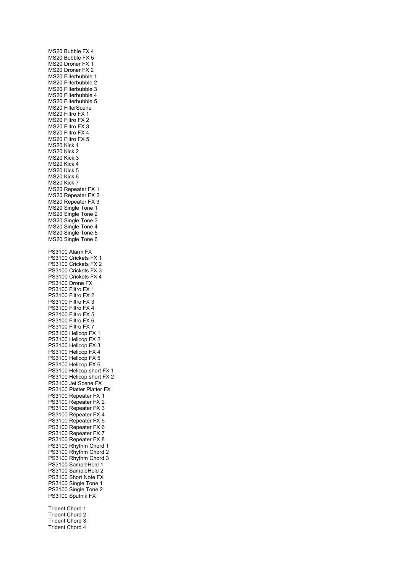MS20 Bubble FX 4 MS20 Bubble FX 5 MS20 Droner FX 1 MS20 Droner FX 2 MS20 Filterbubble 1 MS20 Filterbubble 2 MS20 Filterbubble 3 MS20 Filterbubble 4 MS20 Filterbubble 5 MS20 FilterScene MS20 Filtro FX 1 MS20 Filtro FX 2 MS20 Filtro FX 3 MS<sub>20</sub> Filtro FX 4 MS20 Filtro FX 5 MS20 Kick 1 MS20 Kick 2 MS20 Kick 3 MS20 Kick 4 MS20 Kick 5 MS20 Kick 6 MS20 Kick 7 MS20 Repeater FX 1 MS20 Repeater FX 2 MS20 Repeater FX 3 MS20 Single Tone 1 MS20 Single Tone 2 MS20 Single Tone 3 MS20 Single Tone 4 MS20 Single Tone 5 MS20 Single Tone 6 PS3100 Alarm FX PS3100 Crickets FX 1 PS3100 Crickets FX 2 PS3100 Crickets FX 3 PS3100 Crickets FX 4 PS3100 Drone FX PS3100 Filtro FX 1 PS3100 Filtro FX 2 PS3100 Filtro FX 3 PS3100 Filtro FX 4 PS3100 Filtro FX 5 PS3100 Filtro FX 6 PS3100 Filtro FX 7 PS3100 Helicop FX 1 PS3100 Helicop FX 2 PS3100 Helicop FX 3 PS3100 Helicop FX 4 PS3100 Helicop FX 5 PS3100 Helicop FX 6 PS3100 Helicop short FX 1 PS3100 Helicop short FX 2 PS3100 Jet Scene FX PS3100 Platter Platter FX PS3100 Repeater FX 1 PS3100 Repeater FX 2 PS3100 Repeater FX 3 PS3100 Repeater FX 4 PS3100 Repeater FX 5 PS3100 Repeater FX 6 PS3100 Repeater FX 7 PS3100 Repeater FX 8 PS3100 Rhythm Chord 1 PS3100 Rhythm Chord 2 PS3100 Rhythm Chord 3 PS3100 SampleHold 1 PS3100 SampleHold 2 PS3100 Short Note FX PS3100 Single Tone 1 PS3100 Single Tone 2 PS3100 Sputnik FX Trident Chord 1 Trident Chord 2 Trident Chord 3 Trident Chord 4